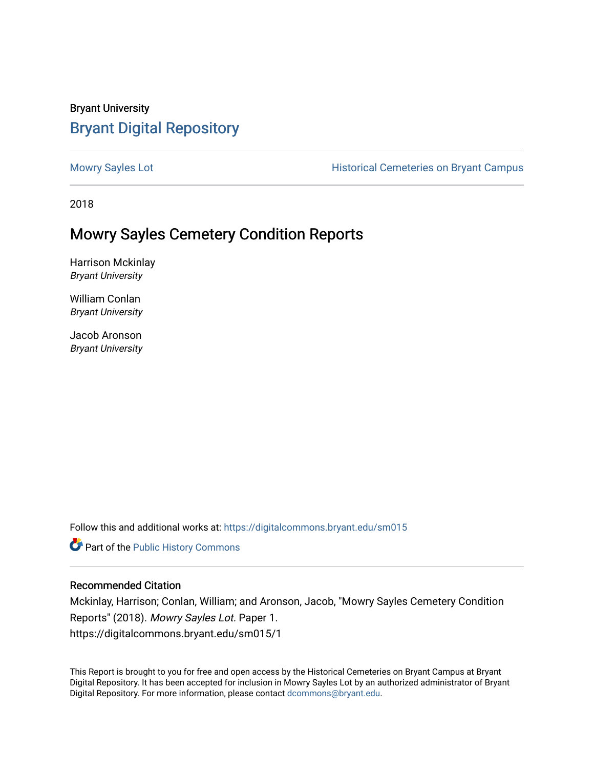## Bryant University [Bryant Digital Repository](https://digitalcommons.bryant.edu/)

[Mowry Sayles Lot](https://digitalcommons.bryant.edu/sm015) **Mowry Sayles Lot Historical Cemeteries on Bryant Campus** 

2018

## Mowry Sayles Cemetery Condition Reports

Harrison Mckinlay Bryant University

William Conlan Bryant University

Jacob Aronson Bryant University

Follow this and additional works at: [https://digitalcommons.bryant.edu/sm015](https://digitalcommons.bryant.edu/sm015?utm_source=digitalcommons.bryant.edu%2Fsm015%2F1&utm_medium=PDF&utm_campaign=PDFCoverPages) 

Part of the [Public History Commons](http://network.bepress.com/hgg/discipline/1292?utm_source=digitalcommons.bryant.edu%2Fsm015%2F1&utm_medium=PDF&utm_campaign=PDFCoverPages) 

## Recommended Citation

Mckinlay, Harrison; Conlan, William; and Aronson, Jacob, "Mowry Sayles Cemetery Condition Reports" (2018). Mowry Sayles Lot. Paper 1. https://digitalcommons.bryant.edu/sm015/1

This Report is brought to you for free and open access by the Historical Cemeteries on Bryant Campus at Bryant Digital Repository. It has been accepted for inclusion in Mowry Sayles Lot by an authorized administrator of Bryant Digital Repository. For more information, please contact [dcommons@bryant.edu](mailto:dcommons@bryant.edu).